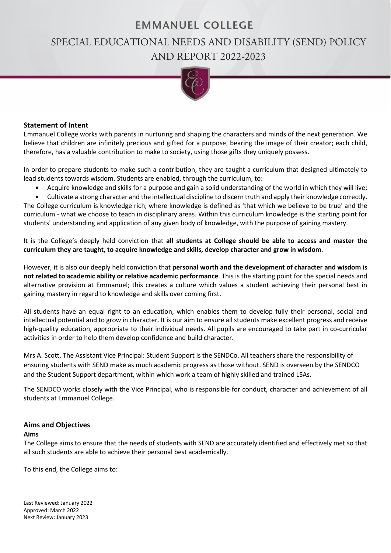# **EMMANUEL COLLEGE**

# SPECIAL EDUCATIONAL NEEDS AND DISABILITY (SEND) POLICY AND REPORT 2022-2023



#### **Statement of Intent**

Emmanuel College works with parents in nurturing and shaping the characters and minds of the next generation. We believe that children are infinitely precious and gifted for a purpose, bearing the image of their creator; each child, therefore, has a valuable contribution to make to society, using those gifts they uniquely possess.

In order to prepare students to make such a contribution, they are taught a curriculum that designed ultimately to lead students towards wisdom. Students are enabled, through the curriculum, to:

• Acquire knowledge and skills for a purpose and gain a solid understanding of the world in which they will live;

• Cultivate a strong character and the intellectual discipline to discern truth and apply their knowledge correctly. The College curriculum is knowledge rich, where knowledge is defined as 'that which we believe to be true' and the curriculum - what we choose to teach in disciplinary areas. Within this curriculum knowledge is the starting point for students' understanding and application of any given body of knowledge, with the purpose of gaining mastery.

It is the College's deeply held conviction that **all students at College should be able to access and master the curriculum they are taught, to acquire knowledge and skills, develop character and grow in wisdom**.

However, it is also our deeply held conviction that **personal worth and the development of character and wisdom is not related to academic ability or relative academic performance**. This is the starting point for the special needs and alternative provision at Emmanuel; this creates a culture which values a student achieving their personal best in gaining mastery in regard to knowledge and skills over coming first.

All students have an equal right to an education, which enables them to develop fully their personal, social and intellectual potential and to grow in character. It is our aim to ensure all students make excellent progress and receive high-quality education, appropriate to their individual needs. All pupils are encouraged to take part in co-curricular activities in order to help them develop confidence and build character.

Mrs A. Scott, The Assistant Vice Principal: Student Support is the SENDCo. All teachers share the responsibility of ensuring students with SEND make as much academic progress as those without. SEND is overseen by the SENDCO and the Student Support department, within which work a team of highly skilled and trained LSAs.

The SENDCO works closely with the Vice Principal, who is responsible for conduct, character and achievement of all students at Emmanuel College.

#### **Aims and Objectives**

#### **Aims**

The College aims to ensure that the needs of students with SEND are accurately identified and effectively met so that all such students are able to achieve their personal best academically.

To this end, the College aims to:

Last Reviewed: January 2022 Approved: March 2022 Next Review: January 2023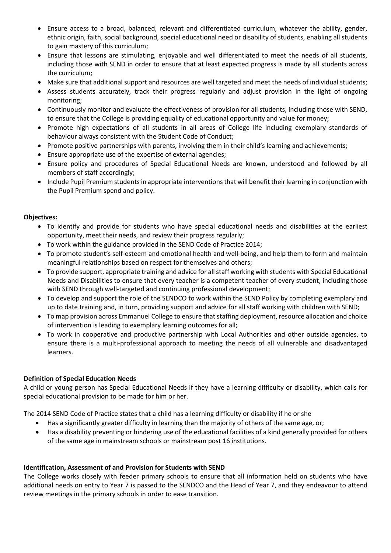- Ensure access to a broad, balanced, relevant and differentiated curriculum, whatever the ability, gender, ethnic origin, faith, social background, special educational need or disability of students, enabling all students to gain mastery of this curriculum;
- Ensure that lessons are stimulating, enjoyable and well differentiated to meet the needs of all students, including those with SEND in order to ensure that at least expected progress is made by all students across the curriculum;
- Make sure that additional support and resources are well targeted and meet the needs of individual students;
- Assess students accurately, track their progress regularly and adjust provision in the light of ongoing monitoring;
- Continuously monitor and evaluate the effectiveness of provision for all students, including those with SEND, to ensure that the College is providing equality of educational opportunity and value for money;
- Promote high expectations of all students in all areas of College life including exemplary standards of behaviour always consistent with the Student Code of Conduct;
- Promote positive partnerships with parents, involving them in their child's learning and achievements;
- Ensure appropriate use of the expertise of external agencies;
- Ensure policy and procedures of Special Educational Needs are known, understood and followed by all members of staff accordingly;
- Include Pupil Premium students in appropriate interventions that will benefit their learning in conjunction with the Pupil Premium spend and policy.

# **Objectives:**

- To identify and provide for students who have special educational needs and disabilities at the earliest opportunity, meet their needs, and review their progress regularly;
- To work within the guidance provided in the SEND Code of Practice 2014;
- To promote student's self-esteem and emotional health and well-being, and help them to form and maintain meaningful relationships based on respect for themselves and others;
- To provide support, appropriate training and advice for all staff working with students with Special Educational Needs and Disabilities to ensure that every teacher is a competent teacher of every student, including those with SEND through well-targeted and continuing professional development;
- To develop and support the role of the SENDCO to work within the SEND Policy by completing exemplary and up to date training and, in turn, providing support and advice for all staff working with children with SEND;
- To map provision across Emmanuel College to ensure that staffing deployment, resource allocation and choice of intervention is leading to exemplary learning outcomes for all;
- To work in cooperative and productive partnership with Local Authorities and other outside agencies, to ensure there is a multi-professional approach to meeting the needs of all vulnerable and disadvantaged learners.

# **Definition of Special Education Needs**

A child or young person has Special Educational Needs if they have a learning difficulty or disability, which calls for special educational provision to be made for him or her.

The 2014 SEND Code of Practice states that a child has a learning difficulty or disability if he or she

- Has a significantly greater difficulty in learning than the majority of others of the same age, or;
- Has a disability preventing or hindering use of the educational facilities of a kind generally provided for others of the same age in mainstream schools or mainstream post 16 institutions.

# **Identification, Assessment of and Provision for Students with SEND**

The College works closely with feeder primary schools to ensure that all information held on students who have additional needs on entry to Year 7 is passed to the SENDCO and the Head of Year 7, and they endeavour to attend review meetings in the primary schools in order to ease transition.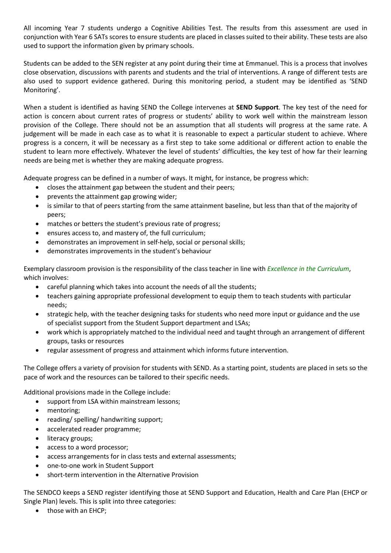All incoming Year 7 students undergo a Cognitive Abilities Test. The results from this assessment are used in conjunction with Year 6 SATs scores to ensure students are placed in classes suited to their ability. These tests are also used to support the information given by primary schools.

Students can be added to the SEN register at any point during their time at Emmanuel. This is a process that involves close observation, discussions with parents and students and the trial of interventions. A range of different tests are also used to support evidence gathered. During this monitoring period, a student may be identified as 'SEND Monitoring'.

When a student is identified as having SEND the College intervenes at **SEND Support**. The key test of the need for action is concern about current rates of progress or students' ability to work well within the mainstream lesson provision of the College. There should not be an assumption that all students will progress at the same rate. A judgement will be made in each case as to what it is reasonable to expect a particular student to achieve. Where progress is a concern, it will be necessary as a first step to take some additional or different action to enable the student to learn more effectively. Whatever the level of students' difficulties, the key test of how far their learning needs are being met is whether they are making adequate progress.

Adequate progress can be defined in a number of ways. It might, for instance, be progress which:

- closes the attainment gap between the student and their peers;
- prevents the attainment gap growing wider;
- is similar to that of peers starting from the same attainment baseline, but less than that of the majority of peers;
- matches or betters the student's previous rate of progress;
- ensures access to, and mastery of, the full curriculum;
- demonstrates an improvement in self-help, social or personal skills;
- demonstrates improvements in the student's behaviour

Exemplary classroom provision is the responsibility of the class teacher in line with *Excellence in the Curriculum*, which involves:

- careful planning which takes into account the needs of all the students;
- teachers gaining appropriate professional development to equip them to teach students with particular needs;
- strategic help, with the teacher designing tasks for students who need more input or guidance and the use of specialist support from the Student Support department and LSAs;
- work which is appropriately matched to the individual need and taught through an arrangement of different groups, tasks or resources
- regular assessment of progress and attainment which informs future intervention.

The College offers a variety of provision for students with SEND. As a starting point, students are placed in sets so the pace of work and the resources can be tailored to their specific needs.

Additional provisions made in the College include:

- support from LSA within mainstream lessons;
- mentoring:
- reading/ spelling/ handwriting support;
- accelerated reader programme;
- literacy groups;
- access to a word processor;
- access arrangements for in class tests and external assessments;
- one-to-one work in Student Support
- short-term intervention in the Alternative Provision

The SENDCO keeps a SEND register identifying those at SEND Support and Education, Health and Care Plan (EHCP or Single Plan) levels. This is split into three categories:

• those with an EHCP;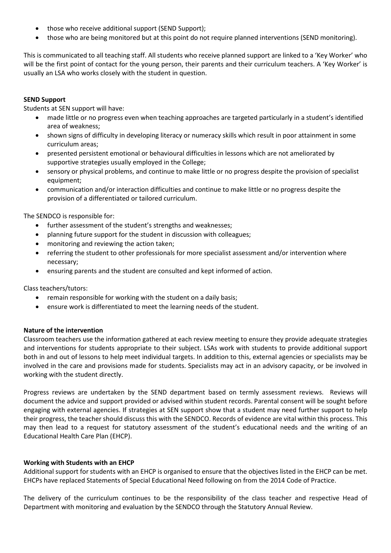- those who receive additional support (SEND Support);
- those who are being monitored but at this point do not require planned interventions (SEND monitoring).

This is communicated to all teaching staff. All students who receive planned support are linked to a 'Key Worker' who will be the first point of contact for the young person, their parents and their curriculum teachers. A 'Key Worker' is usually an LSA who works closely with the student in question.

# **SEND Support**

Students at SEN support will have:

- made little or no progress even when teaching approaches are targeted particularly in a student's identified area of weakness;
- shown signs of difficulty in developing literacy or numeracy skills which result in poor attainment in some curriculum areas;
- presented persistent emotional or behavioural difficulties in lessons which are not ameliorated by supportive strategies usually employed in the College;
- sensory or physical problems, and continue to make little or no progress despite the provision of specialist equipment;
- communication and/or interaction difficulties and continue to make little or no progress despite the provision of a differentiated or tailored curriculum.

The SENDCO is responsible for:

- further assessment of the student's strengths and weaknesses;
- planning future support for the student in discussion with colleagues;
- monitoring and reviewing the action taken;
- referring the student to other professionals for more specialist assessment and/or intervention where necessary;
- ensuring parents and the student are consulted and kept informed of action.

Class teachers/tutors:

- remain responsible for working with the student on a daily basis;
- ensure work is differentiated to meet the learning needs of the student.

#### **Nature of the intervention**

Classroom teachers use the information gathered at each review meeting to ensure they provide adequate strategies and interventions for students appropriate to their subject. LSAs work with students to provide additional support both in and out of lessons to help meet individual targets. In addition to this, external agencies or specialists may be involved in the care and provisions made for students. Specialists may act in an advisory capacity, or be involved in working with the student directly.

Progress reviews are undertaken by the SEND department based on termly assessment reviews. Reviews will document the advice and support provided or advised within student records. Parental consent will be sought before engaging with external agencies. If strategies at SEN support show that a student may need further support to help their progress, the teacher should discuss this with the SENDCO. Records of evidence are vital within this process. This may then lead to a request for statutory assessment of the student's educational needs and the writing of an Educational Health Care Plan (EHCP).

#### **Working with Students with an EHCP**

Additional support for students with an EHCP is organised to ensure that the objectives listed in the EHCP can be met. EHCPs have replaced Statements of Special Educational Need following on from the 2014 Code of Practice.

The delivery of the curriculum continues to be the responsibility of the class teacher and respective Head of Department with monitoring and evaluation by the SENDCO through the Statutory Annual Review.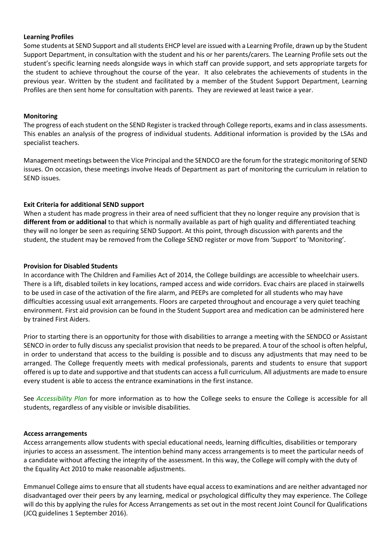#### **Learning Profiles**

Some students at SEND Support and all students EHCP level are issued with a Learning Profile, drawn up by the Student Support Department, in consultation with the student and his or her parents/carers. The Learning Profile sets out the student's specific learning needs alongside ways in which staff can provide support, and sets appropriate targets for the student to achieve throughout the course of the year. It also celebrates the achievements of students in the previous year. Written by the student and facilitated by a member of the Student Support Department, Learning Profiles are then sent home for consultation with parents. They are reviewed at least twice a year.

#### **Monitoring**

The progress of each student on the SEND Register is tracked through College reports, exams and in class assessments. This enables an analysis of the progress of individual students. Additional information is provided by the LSAs and specialist teachers.

Management meetings between the Vice Principal and the SENDCO are the forum for the strategic monitoring of SEND issues. On occasion, these meetings involve Heads of Department as part of monitoring the curriculum in relation to SEND issues.

# **Exit Criteria for additional SEND support**

When a student has made progress in their area of need sufficient that they no longer require any provision that is **different from or additional** to that which is normally available as part of high quality and differentiated teaching they will no longer be seen as requiring SEND Support. At this point, through discussion with parents and the student, the student may be removed from the College SEND register or move from 'Support' to 'Monitoring'.

#### **Provision for Disabled Students**

In accordance with The Children and Families Act of 2014, the College buildings are accessible to wheelchair users. There is a lift, disabled toilets in key locations, ramped access and wide corridors. Evac chairs are placed in stairwells to be used in case of the activation of the fire alarm, and PEEPs are completed for all students who may have difficulties accessing usual exit arrangements. Floors are carpeted throughout and encourage a very quiet teaching environment. First aid provision can be found in the Student Support area and medication can be administered here by trained First Aiders.

Prior to starting there is an opportunity for those with disabilities to arrange a meeting with the SENDCO or Assistant SENCO in order to fully discuss any specialist provision that needs to be prepared. A tour of the school is often helpful, in order to understand that access to the building is possible and to discuss any adjustments that may need to be arranged. The College frequently meets with medical professionals, parents and students to ensure that support offered is up to date and supportive and that students can access a full curriculum. All adjustments are made to ensure every student is able to access the entrance examinations in the first instance.

See *Accessibility Plan* for more information as to how the College seeks to ensure the College is accessible for all students, regardless of any visible or invisible disabilities.

#### **Access arrangements**

Access arrangements allow students with special educational needs, learning difficulties, disabilities or temporary injuries to access an assessment. The intention behind many access arrangements is to meet the particular needs of a candidate without affecting the integrity of the assessment. In this way, the College will comply with the duty of the Equality Act 2010 to make reasonable adjustments.

Emmanuel College aims to ensure that all students have equal access to examinations and are neither advantaged nor disadvantaged over their peers by any learning, medical or psychological difficulty they may experience. The College will do this by applying the rules for Access Arrangements as set out in the most recent Joint Council for Qualifications (JCQ guidelines 1 September 2016).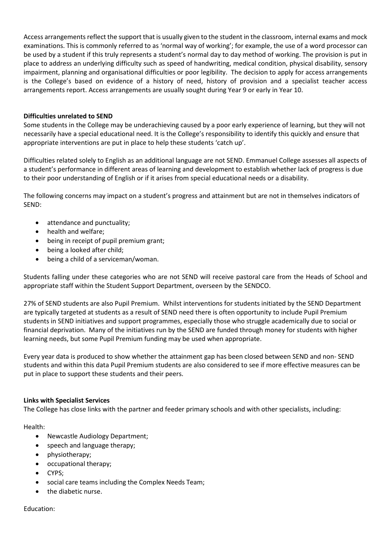Access arrangements reflect the support that is usually given to the student in the classroom, internal exams and mock examinations. This is commonly referred to as 'normal way of working'; for example, the use of a word processor can be used by a student if this truly represents a student's normal day to day method of working. The provision is put in place to address an underlying difficulty such as speed of handwriting, medical condition, physical disability, sensory impairment, planning and organisational difficulties or poor legibility. The decision to apply for access arrangements is the College's based on evidence of a history of need, history of provision and a specialist teacher access arrangements report. Access arrangements are usually sought during Year 9 or early in Year 10.

# **Difficulties unrelated to SEND**

Some students in the College may be underachieving caused by a poor early experience of learning, but they will not necessarily have a special educational need. It is the College's responsibility to identify this quickly and ensure that appropriate interventions are put in place to help these students 'catch up'.

Difficulties related solely to English as an additional language are not SEND. Emmanuel College assesses all aspects of a student's performance in different areas of learning and development to establish whether lack of progress is due to their poor understanding of English or if it arises from special educational needs or a disability.

The following concerns may impact on a student's progress and attainment but are not in themselves indicators of SEND:

- attendance and punctuality;
- health and welfare;
- being in receipt of pupil premium grant;
- being a looked after child;
- being a child of a serviceman/woman.

Students falling under these categories who are not SEND will receive pastoral care from the Heads of School and appropriate staff within the Student Support Department, overseen by the SENDCO.

27% of SEND students are also Pupil Premium. Whilst interventions for students initiated by the SEND Department are typically targeted at students as a result of SEND need there is often opportunity to include Pupil Premium students in SEND initiatives and support programmes, especially those who struggle academically due to social or financial deprivation. Many of the initiatives run by the SEND are funded through money for students with higher learning needs, but some Pupil Premium funding may be used when appropriate.

Every year data is produced to show whether the attainment gap has been closed between SEND and non- SEND students and within this data Pupil Premium students are also considered to see if more effective measures can be put in place to support these students and their peers.

#### **Links with Specialist Services**

The College has close links with the partner and feeder primary schools and with other specialists, including:

Health:

- Newcastle Audiology Department;
- speech and language therapy;
- physiotherapy;
- occupational therapy;
- CYPS;
- social care teams including the Complex Needs Team;
- the diabetic nurse.

#### Education: